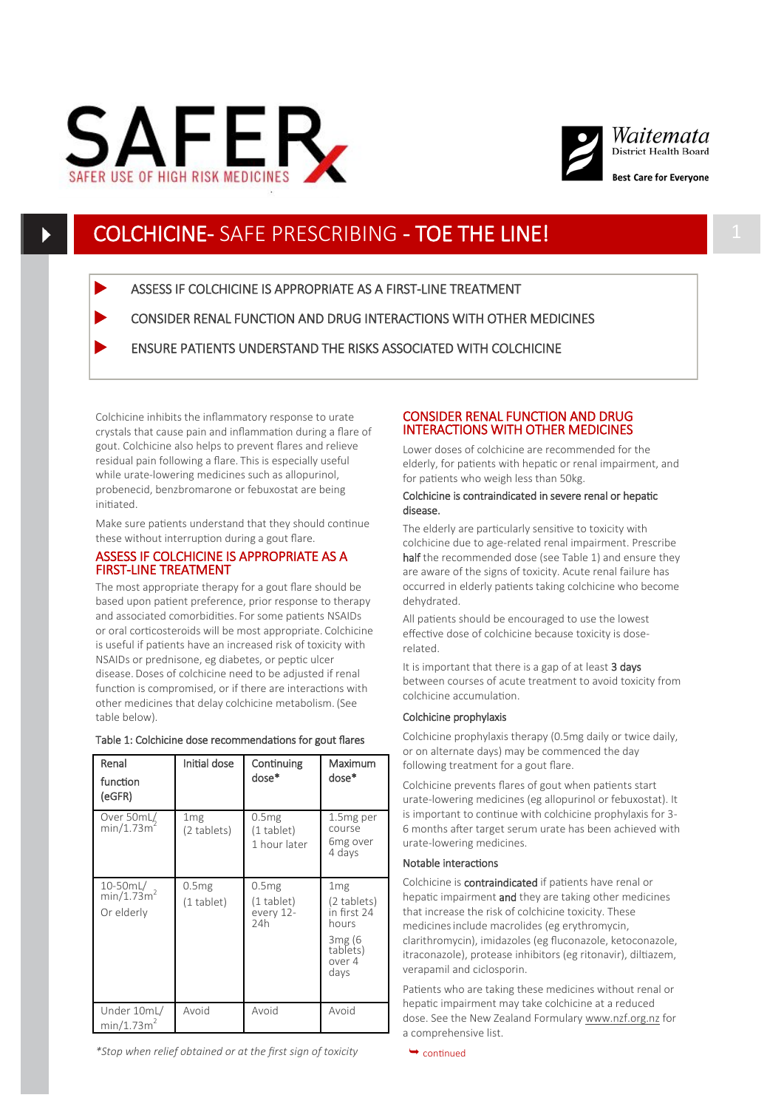



## COLCHICINE- SAFE PRESCRIBING - TOE THE LINE!

ASSESS IF COLCHICINE IS APPROPRIATE AS A FIRST-LINE TREATMENT

CONSIDER RENAL FUNCTION AND DRUG INTERACTIONS WITH OTHER MEDICINES

ENSURE PATIENTS UNDERSTAND THE RISKS ASSOCIATED WITH COLCHICINE

Colchicine inhibits the inflammatory response to urate crystals that cause pain and inflammation during a flare of gout. Colchicine also helps to prevent flares and relieve residual pain following a flare. This is especially useful while urate-lowering medicines such as allopurinol, probenecid, benzbromarone or febuxostat are being initiated.

Make sure patients understand that they should continue these without interruption during a gout flare.

### ASSESS IF COLCHICINE IS APPROPRIATE AS A FIRST-LINE TREATMENT

The most appropriate therapy for a gout flare should be based upon patient preference, prior response to therapy and associated comorbidities. For some patients NSAIDs or oral corticosteroids will be most appropriate. Colchicine is useful if patients have an increased risk of toxicity with NSAIDs or prednisone, eg diabetes, or peptic ulcer disease.Doses of colchicine need to be adjusted if renal function is compromised, or if there are interactions with other medicines that delay colchicine metabolism. (See table below).

| Renal<br>function<br>(eGFR)                      | Initial dose                      | Continuing<br>dose*                                 | Maximum<br>dose*                                                                                           |
|--------------------------------------------------|-----------------------------------|-----------------------------------------------------|------------------------------------------------------------------------------------------------------------|
| Over 50mL/<br>min/1.73m <sup>-</sup>             | 1 <sub>mg</sub><br>(2 tablets)    | 0.5mg<br>$(1$ tablet)<br>1 hour later               | 1.5 <sub>mg</sub> per<br>course<br>6mg over<br>4 days                                                      |
| 10-50mL/<br>min/1.73m <sup>2</sup><br>Or elderly | 0.5 <sub>mg</sub><br>$(1$ tablet) | 0.5 <sub>mg</sub><br>(1 tablet)<br>every 12-<br>24h | 1 <sub>mg</sub><br>(2 tablets)<br>in first 24<br>hours<br>3 <sub>mg</sub> (6<br>tablets)<br>over 4<br>days |
| Under 10mL/<br>min/1.73m <sup>2</sup>            | Avoid                             | Avoid                                               | Avoid                                                                                                      |

## Table 1: Colchicine dose recommendations for gout flares

#### *\*Stop when relief obtained or at the first sign of toxicity*

## CONSIDER RENAL FUNCTION AND DRUG INTERACTIONS WITH OTHER MEDICINES

Lower doses of colchicine are recommended for the elderly, for patients with hepatic or renal impairment, and for patients who weigh less than 50kg.

#### Colchicine is contraindicated in severe renal or hepatic disease.

The elderly are particularly sensitive to toxicity with colchicine due to age-related renal impairment. Prescribe half the recommended dose (see Table 1) and ensure they are aware of the signs of toxicity. Acute renal failure has occurred in elderly patients taking colchicine who become dehydrated.

All patients should be encouraged to use the lowest effective dose of colchicine because toxicity is doserelated.

It is important that there is a gap of at least 3 days between courses of acute treatment to avoid toxicity from colchicine accumulation.

#### Colchicine prophylaxis

Colchicine prophylaxis therapy (0.5mg daily or twice daily, or on alternate days) may be commenced the day following treatment for a gout flare.

Colchicine prevents flares of gout when patients start urate-lowering medicines (eg allopurinol or febuxostat). It is important to continue with colchicine prophylaxis for 3- 6 months after target serum urate has been achieved with urate-lowering medicines.

#### Notable interactions

Colchicine is contraindicated if patients have renal or hepatic impairment and they are taking other medicines that increase the risk of colchicine toxicity. These medicinesinclude macrolides (eg erythromycin, clarithromycin), imidazoles (eg fluconazole, ketoconazole, itraconazole), protease inhibitors (eg ritonavir), diltiazem, verapamil and ciclosporin.

Patients who are taking these medicines without renal or hepatic impairment may take colchicine at a reduced dose. See the New Zealand Formulary [www.nzf.org.nz](http://www.nzf.org.nz) for a comprehensive list.

 $\rightarrow$  continued